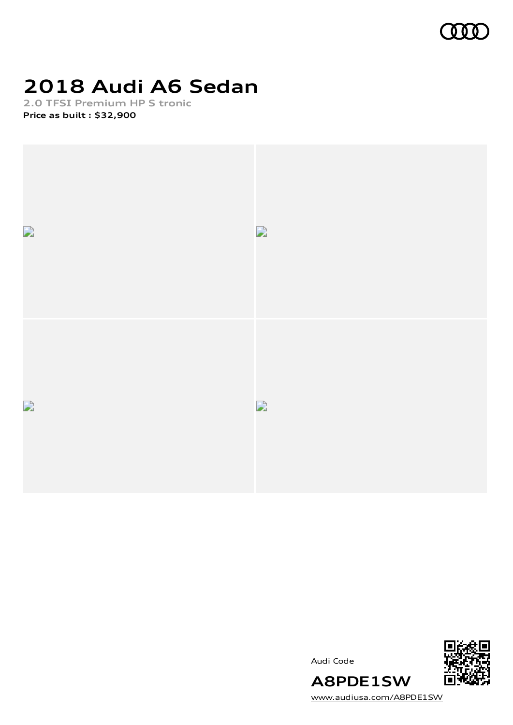

# **2018 Audi A6 Sedan**

**2.0 TFSI Premium HP S tronic Price as built [:](#page-9-0) \$32,900**





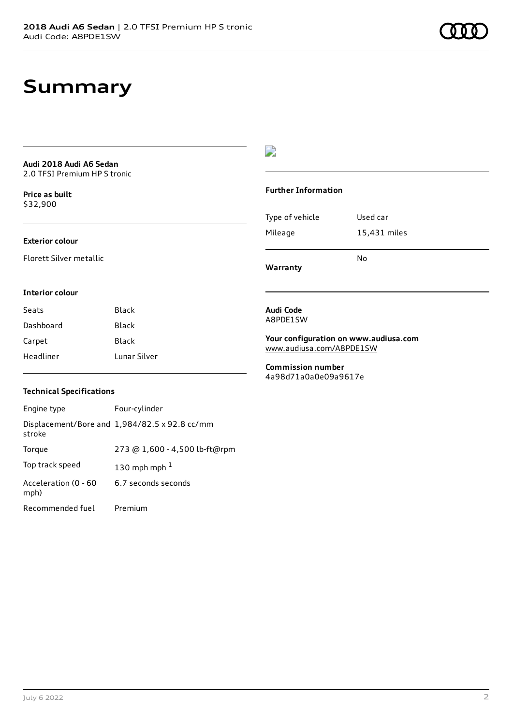### **Summary**

**Audi 2018 Audi A6 Sedan** 2.0 TFSI Premium HP S tronic

**Price as buil[t](#page-9-0)** \$32,900

#### **Exterior colour**

Florett Silver metallic

### $\overline{\phantom{a}}$

#### **Further Information**

|                 | N٥           |
|-----------------|--------------|
| Mileage         | 15,431 miles |
| Type of vehicle | Used car     |

**Warranty**

#### **Interior colour**

| Seats     | Black        |
|-----------|--------------|
| Dashboard | Black        |
| Carpet    | Black        |
| Headliner | Lunar Silver |

#### **Audi Code** A8PDE1SW

**Your configuration on www.audiusa.com** [www.audiusa.com/A8PDE1SW](https://www.audiusa.com/A8PDE1SW)

**Commission number** 4a98d71a0a0e09a9617e

#### **Technical Specifications**

| Engine type                  | Four-cylinder                                 |
|------------------------------|-----------------------------------------------|
| stroke                       | Displacement/Bore and 1,984/82.5 x 92.8 cc/mm |
| Torque                       | 273 @ 1,600 - 4,500 lb-ft@rpm                 |
| Top track speed              | 130 mph mph $1$                               |
| Acceleration (0 - 60<br>mph) | 6.7 seconds seconds                           |
| Recommended fuel             | Premium                                       |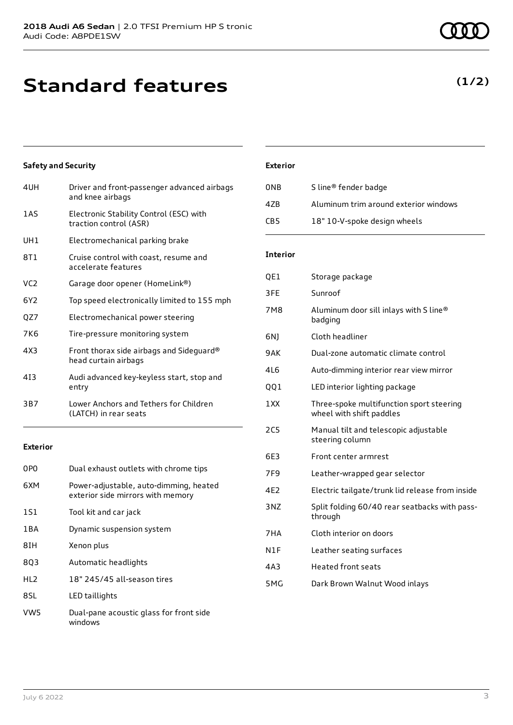# **Standard features**

### **Safety and Security**

| 4UH             | Driver and front-passenger advanced airbags<br>and knee airbags   |
|-----------------|-------------------------------------------------------------------|
| 1 A S           | Electronic Stability Control (ESC) with<br>traction control (ASR) |
| UH1             | Electromechanical parking brake                                   |
| 8T1             | Cruise control with coast, resume and<br>accelerate features      |
| VC <sub>2</sub> | Garage door opener (HomeLink®)                                    |
| 6Y2             | Top speed electronically limited to 155 mph                       |
| QZ7             | Electromechanical power steering                                  |
| 7K6             | Tire-pressure monitoring system                                   |
| 4X3             | Front thorax side airbags and Sideguard®<br>head curtain airbags  |
| 413             | Audi advanced key-keyless start, stop and<br>entry                |
| 3B7             | Lower Anchors and Tethers for Children<br>(LATCH) in rear seats   |

### **Exterior**

| 0PO   | Dual exhaust outlets with chrome tips                                       |
|-------|-----------------------------------------------------------------------------|
| 6XM   | Power-adjustable, auto-dimming, heated<br>exterior side mirrors with memory |
| 1S1   | Tool kit and car jack                                                       |
| 1 B A | Dynamic suspension system                                                   |
| 8IH   | Xenon plus                                                                  |
| 803   | Automatic headlights                                                        |
| HI 2  | 18" 245/45 all-season tires                                                 |
| 8SL   | LED taillights                                                              |
| VW5   | Dual-pane acoustic glass for front side<br>windows                          |

#### **Exterior**

| 0NB | S line <sup>®</sup> fender badge      |
|-----|---------------------------------------|
| 47B | Aluminum trim around exterior windows |
| CB5 | 18" 10-V-spoke design wheels          |

#### **Interior**

| QE1 | Storage package                                                      |
|-----|----------------------------------------------------------------------|
| 3FE | Sunroof                                                              |
| 7M8 | Aluminum door sill inlays with S line®<br>badging                    |
| 6N) | Cloth headliner                                                      |
| 9AK | Dual-zone automatic climate control                                  |
| 4L6 | Auto-dimming interior rear view mirror                               |
| QQ1 | LED interior lighting package                                        |
| 1XX | Three-spoke multifunction sport steering<br>wheel with shift paddles |
| 2C5 | Manual tilt and telescopic adjustable<br>steering column             |
| 6E3 | Front center armrest                                                 |
| 7F9 | Leather-wrapped gear selector                                        |
| 4E2 | Electric tailgate/trunk lid release from inside                      |
| 3NZ | Split folding 60/40 rear seatbacks with pass-<br>through             |
| 7HA | Cloth interior on doors                                              |
| N1F | Leather seating surfaces                                             |
| 4A3 | <b>Heated front seats</b>                                            |
| 5MG | Dark Brown Walnut Wood inlays                                        |
|     |                                                                      |

### **(1/2)**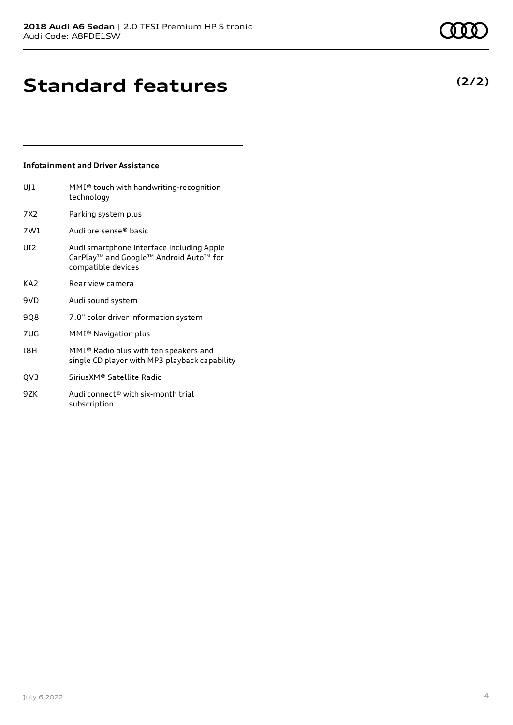### **Infotainment and Driver Assistance**

subscription

| $U$ ] $1$       | MMI® touch with handwriting-recognition<br>technology                                                     |
|-----------------|-----------------------------------------------------------------------------------------------------------|
| 7X2             | Parking system plus                                                                                       |
| 7W1             | Audi pre sense® basic                                                                                     |
| UI <sub>2</sub> | Audi smartphone interface including Apple<br>CarPlay™ and Google™ Android Auto™ for<br>compatible devices |
| KA <sub>2</sub> | Rear view camera                                                                                          |
| 9VD             | Audi sound system                                                                                         |
| 908             | 7.0" color driver information system                                                                      |
| 7UG             | MMI® Navigation plus                                                                                      |
| I8H             | MMI® Radio plus with ten speakers and<br>single CD player with MP3 playback capability                    |
| QV3             | Sirius XM® Satellite Radio                                                                                |
| 9ZK             | Audi connect <sup>®</sup> with six-month trial                                                            |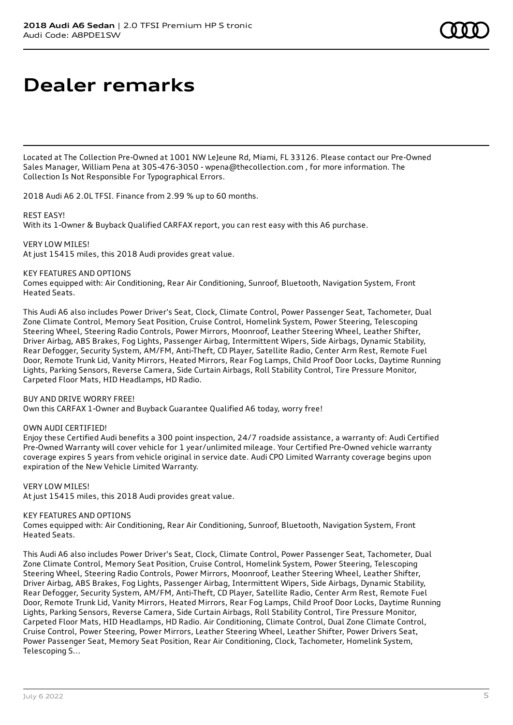# **Dealer remarks**

Located at The Collection Pre-Owned at 1001 NW LeJeune Rd, Miami, FL 33126. Please contact our Pre-Owned Sales Manager, William Pena at 305-476-3050 - wpena@thecollection.com , for more information. The Collection Is Not Responsible For Typographical Errors.

2018 Audi A6 2.0L TFSI. Finance from 2.99 % up to 60 months.

#### REST EASY!

With its 1-Owner & Buyback Qualified CARFAX report, you can rest easy with this A6 purchase.

VERY LOW MILES! At just 15415 miles, this 2018 Audi provides great value.

#### KEY FEATURES AND OPTIONS

Comes equipped with: Air Conditioning, Rear Air Conditioning, Sunroof, Bluetooth, Navigation System, Front Heated Seats.

This Audi A6 also includes Power Driver's Seat, Clock, Climate Control, Power Passenger Seat, Tachometer, Dual Zone Climate Control, Memory Seat Position, Cruise Control, Homelink System, Power Steering, Telescoping Steering Wheel, Steering Radio Controls, Power Mirrors, Moonroof, Leather Steering Wheel, Leather Shifter, Driver Airbag, ABS Brakes, Fog Lights, Passenger Airbag, Intermittent Wipers, Side Airbags, Dynamic Stability, Rear Defogger, Security System, AM/FM, Anti-Theft, CD Player, Satellite Radio, Center Arm Rest, Remote Fuel Door, Remote Trunk Lid, Vanity Mirrors, Heated Mirrors, Rear Fog Lamps, Child Proof Door Locks, Daytime Running Lights, Parking Sensors, Reverse Camera, Side Curtain Airbags, Roll Stability Control, Tire Pressure Monitor, Carpeted Floor Mats, HID Headlamps, HD Radio.

#### BUY AND DRIVE WORRY FREE!

Own this CARFAX 1-Owner and Buyback Guarantee Qualified A6 today, worry free!

#### OWN AUDI CERTIFIED!

Enjoy these Certified Audi benefits a 300 point inspection, 24/7 roadside assistance, a warranty of: Audi Certified Pre-Owned Warranty will cover vehicle for 1 year/unlimited mileage. Your Certified Pre-Owned vehicle warranty coverage expires 5 years from vehicle original in service date. Audi CPO Limited Warranty coverage begins upon expiration of the New Vehicle Limited Warranty.

VERY LOW MILES!

At just 15415 miles, this 2018 Audi provides great value.

#### KEY FEATURES AND OPTIONS

Comes equipped with: Air Conditioning, Rear Air Conditioning, Sunroof, Bluetooth, Navigation System, Front Heated Seats.

This Audi A6 also includes Power Driver's Seat, Clock, Climate Control, Power Passenger Seat, Tachometer, Dual Zone Climate Control, Memory Seat Position, Cruise Control, Homelink System, Power Steering, Telescoping Steering Wheel, Steering Radio Controls, Power Mirrors, Moonroof, Leather Steering Wheel, Leather Shifter, Driver Airbag, ABS Brakes, Fog Lights, Passenger Airbag, Intermittent Wipers, Side Airbags, Dynamic Stability, Rear Defogger, Security System, AM/FM, Anti-Theft, CD Player, Satellite Radio, Center Arm Rest, Remote Fuel Door, Remote Trunk Lid, Vanity Mirrors, Heated Mirrors, Rear Fog Lamps, Child Proof Door Locks, Daytime Running Lights, Parking Sensors, Reverse Camera, Side Curtain Airbags, Roll Stability Control, Tire Pressure Monitor, Carpeted Floor Mats, HID Headlamps, HD Radio. Air Conditioning, Climate Control, Dual Zone Climate Control, Cruise Control, Power Steering, Power Mirrors, Leather Steering Wheel, Leather Shifter, Power Drivers Seat, Power Passenger Seat, Memory Seat Position, Rear Air Conditioning, Clock, Tachometer, Homelink System, Telescoping S...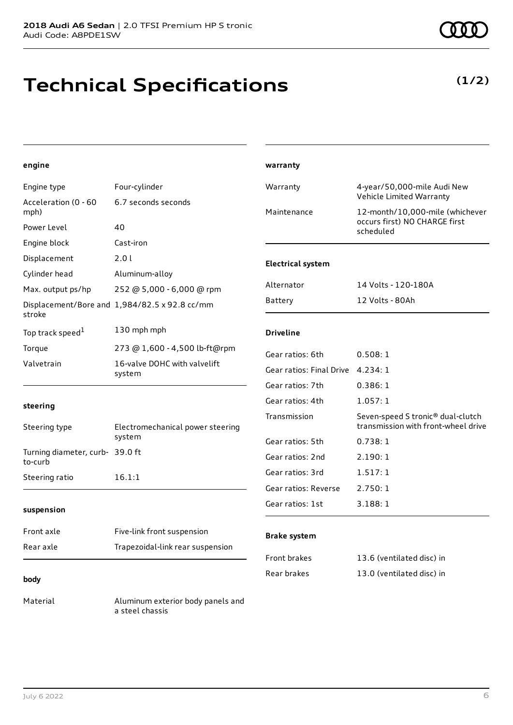# **Technical Specifications**

**(1/2)**

### **engine**

| Engine type                                  | Four-cylinder                                 | Warranty                 | 4-year/50,000-mile Audi New<br>Vehicle Limited Warranty                              |
|----------------------------------------------|-----------------------------------------------|--------------------------|--------------------------------------------------------------------------------------|
| Acceleration (0 - 60<br>mph)                 | 6.7 seconds seconds                           | Maintenance              | 12-month/10,000-mile (whichever                                                      |
| Power Level                                  | 40                                            |                          | occurs first) NO CHARGE first<br>scheduled                                           |
| Engine block                                 | Cast-iron                                     |                          |                                                                                      |
| Displacement                                 | 2.0 l                                         | <b>Electrical system</b> |                                                                                      |
| Cylinder head                                | Aluminum-alloy                                |                          |                                                                                      |
| Max. output ps/hp                            | 252 @ 5,000 - 6,000 @ rpm                     | Alternator               | 14 Volts - 120-180A                                                                  |
| stroke                                       | Displacement/Bore and 1,984/82.5 x 92.8 cc/mm | Battery                  | 12 Volts - 80Ah                                                                      |
| Top track speed <sup>1</sup>                 | 130 mph mph                                   | <b>Driveline</b>         |                                                                                      |
| Torque                                       | 273 @ 1,600 - 4,500 lb-ft@rpm                 | Gear ratios: 6th         | 0.508:1                                                                              |
| Valvetrain                                   | 16-valve DOHC with valvelift<br>system        | Gear ratios: Final Drive | 4.234:1                                                                              |
|                                              |                                               | Gear ratios: 7th         | 0.386:1                                                                              |
| steering                                     |                                               | Gear ratios: 4th         | 1.057:1                                                                              |
| Steering type                                | Electromechanical power steering              | Transmission             | Seven-speed S tronic <sup>®</sup> dual-clutch<br>transmission with front-wheel drive |
|                                              | system                                        | Gear ratios: 5th         | 0.738:1                                                                              |
| Turning diameter, curb- 39.0 ft<br>المستمركة |                                               | Gear ratios: 2nd         | 2.190:1                                                                              |

to-curb Steering ratio 16.1:1

#### **suspension**

| Front axle | Five-link front suspension       |
|------------|----------------------------------|
| Rear axle  | Trapezoidal-link rear suspension |
|            |                                  |

#### **body**

Material Aluminum exterior body panels and a steel chassis

#### **Brake system**

**warranty**

| <b>Front brakes</b> | 13.6 (ventilated disc) in |
|---------------------|---------------------------|
| Rear brakes         | 13.0 (ventilated disc) in |

Gear ratios: 3rd 1.517: 1 Gear ratios: Reverse 2.750: 1 Gear ratios: 1st 3.188: 1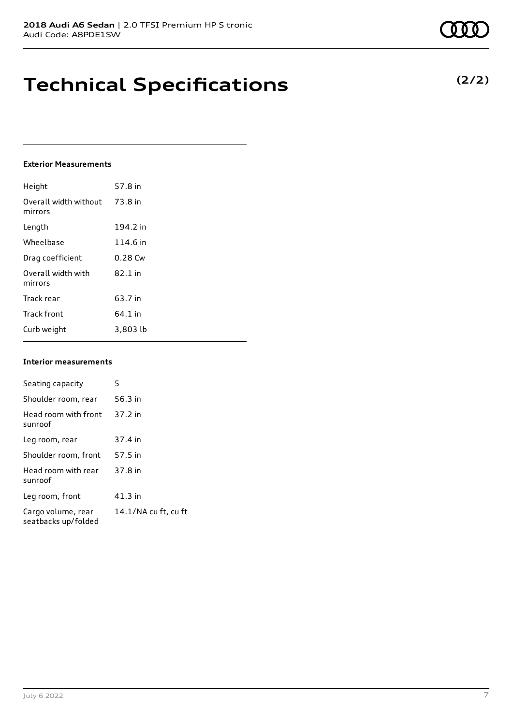# **Technical Specifications**

#### **Exterior Measurements**

| Height                           | 57.8 in   |
|----------------------------------|-----------|
| Overall width without<br>mirrors | 73.8 in   |
| Length                           | 194.2 in  |
| Wheelbase                        | 114.6 in  |
| Drag coefficient                 | $0.28$ Cw |
| Overall width with<br>mirrors    | 82.1 in   |
| Track rear                       | 63.7 in   |
| <b>Track front</b>               | 64.1 in   |
| Curb weight                      | 3,803 lb  |

#### **Interior measurements**

| Seating capacity                          | 5                    |
|-------------------------------------------|----------------------|
| Shoulder room, rear                       | 56.3 in              |
| Head room with front<br>sunroof           | 37.2 in              |
| Leg room, rear                            | 37.4 in              |
| Shoulder room, front                      | 57.5 in              |
| Head room with rear<br>sunroof            | 37.8 in              |
| Leg room, front                           | 41.3 in              |
| Cargo volume, rear<br>seatbacks up/folded | 14.1/NA cu ft, cu ft |

**(2/2)**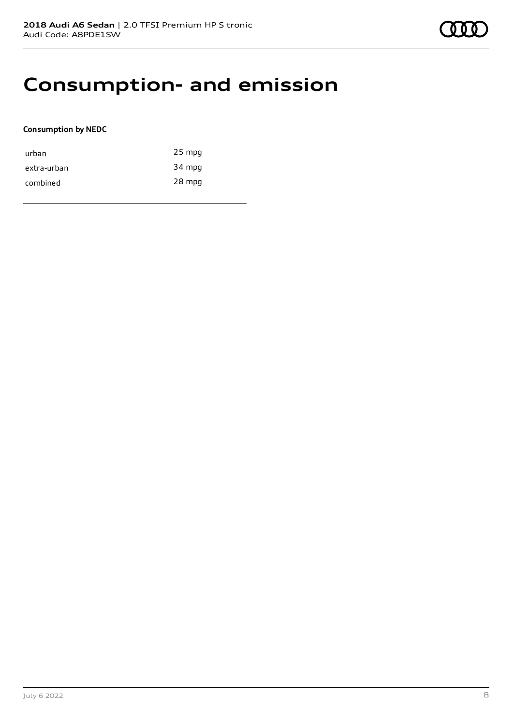### **Consumption- and emission**

#### **Consumption by NEDC**

| urban       | $25$ mpg |
|-------------|----------|
| extra-urban | 34 mpg   |
| combined    | 28 mpg   |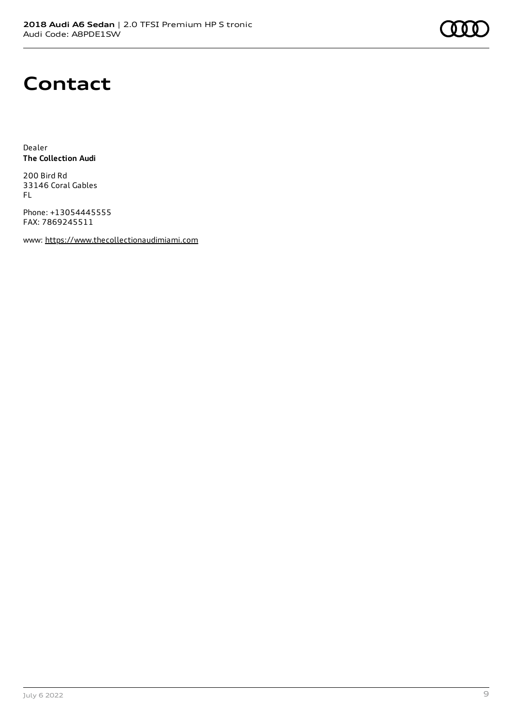### **Contact**

Dealer **The Collection Audi**

200 Bird Rd 33146 Coral Gables FL

Phone: +13054445555 FAX: 7869245511

www: [https://www.thecollectionaudimiami.com](https://www.thecollectionaudimiami.com/)